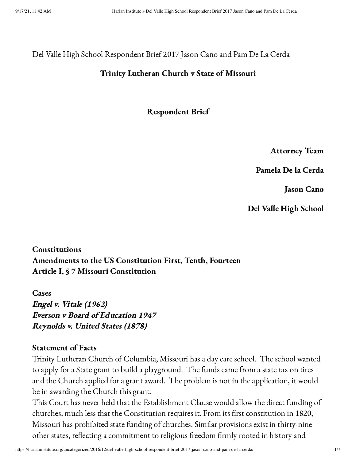Del Valle High School Respondent Brief 2017 Jason Cano and Pam De La Cerda

### Trinity Lutheran Church v State of Missouri

Respondent Brief

Attorney Team

Pamela De la Cerda

Jason Cano

Del Valle High School

Constitutions Amendments to the US Constitution First, Tenth, Fourteen Article I, § 7 Missouri Constitution

**Cases** Engel v. Vitale (1962) Everson <sup>v</sup> Board of Education 1947 Reynolds v. United States (1878)

### Statement of Facts

Trinity Lutheran Church of Columbia, Missouri has a day care school. The school wanted to apply for a State grant to build a playground. The funds came from a state tax on tires and the Church applied for a grant award. The problem is not in the application, it would be in awarding the Church this grant.

This Court has never held that the Establishment Clause would allow the direct funding of churches, much less that the Constitution requires it. From its first constitution in 1820, Missouri has prohibited state funding of churches. Similar provisions exist in thirty-nine other states, reflecting a commitment to religious freedom firmly rooted in history and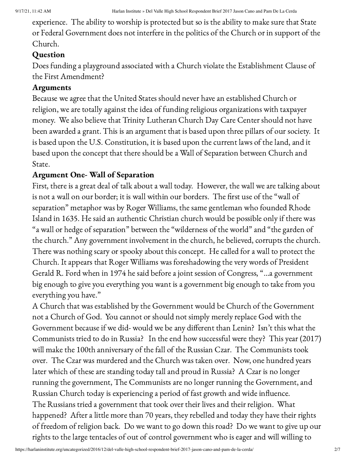experience. The ability to worship is protected but so is the ability to make sure that State or Federal Government does not interfere in the politics of the Church or in support of the Church.

## Question

Does funding a playground associated with a Church violate the Establishment Clause of the First Amendment?

## Arguments

Because we agree that the United States should never have an established Church or religion, we are totally against the idea of funding religious organizations with taxpayer money. We also believe that Trinity Lutheran Church Day Care Center should not have been awarded a grant. This is an argument that is based upon three pillars of our society. It is based upon the U.S. Constitution, it is based upon the current laws of the land, and it based upon the concept that there should be a Wall of Separation between Church and State.

## Argument One- Wall of Separation

First, there is a great deal of talk about a wall today. However, the wall we are talking about is not a wall on our border; it is wall within our borders. The first use of the "wall of separation" metaphor was by Roger Williams, the same gentleman who founded Rhode Island in 1635. He said an authentic Christian church would be possible only if there was "a wall or hedge of separation" between the "wilderness of the world" and "the garden of the church." Any government involvement in the church, he believed, corrupts the church. There was nothing scary or spooky about this concept. He called for a wall to protect the Church. It appears that Roger Williams was foreshadowing the very words of President Gerald R. Ford when in 1974 he said before a joint session of Congress, "…a government big enough to give you everything you want is a government big enough to take from you everything you have."

A Church that was established by the Government would be Church of the Government not a Church of God. You cannot or should not simply merely replace God with the Government because if we did- would we be any different than Lenin? Isn't this what the Communists tried to do in Russia? In the end how successful were they? This year (2017) will make the 100th anniversary of the fall of the Russian Czar. The Communists took over. The Czar was murdered and the Church was taken over. Now, one hundred years later which of these are standing today tall and proud in Russia? A Czar is no longer running the government, The Communists are no longer running the Government, and Russian Church today is experiencing a period of fast growth and wide influence. The Russians tried a government that took over their lives and their religion. What happened? After a little more than 70 years, they rebelled and today they have their rights of freedom of religion back. Do we want to go down this road? Do we want to give up our rights to the large tentacles of out of control government who is eager and will willing to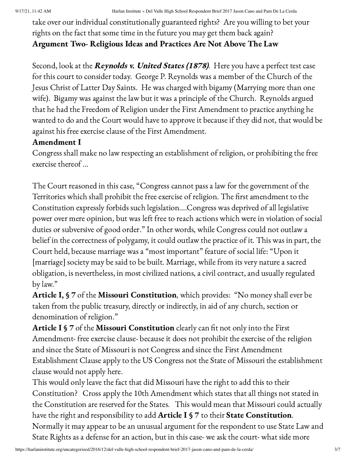take over our individual constitutionally guaranteed rights? Are you willing to bet your rights on the fact that some time in the future you may get them back again? Argument Two- Religious Ideas and Practices Are Not Above The Law

Second, look at the Reynolds v. United States (1878). Here you have a perfect test case for this court to consider today. George P. Reynolds was a member of the Church of the Jesus Christ of Latter Day Saints. He was charged with bigamy (Marrying more than one wife). Bigamy was against the law but it was a principle of the Church. Reynolds argued that he had the Freedom of Religion under the First Amendment to practice anything he wanted to do and the Court would have to approve it because if they did not, that would be against his free exercise clause of the First Amendment.

### Amendment I

Congress shall make no law respecting an establishment of religion, or prohibiting the free exercise thereof …

The Court reasoned in this case, "Congress cannot pass a law for the government of the Territories which shall prohibit the free exercise of religion. The first amendment to the Constitution expressly forbids such legislation….Congress was deprived of all legislative power over mere opinion, but was left free to reach actions which were in violation of social duties or subversive of good order." In other words, while Congress could not outlaw a belief in the correctness of polygamy, it could outlaw the practice of it. This was in part, the Court held, because marriage was a "most important" feature of social life: "Upon it [marriage] society may be said to be built. Marriage, while from its very nature a sacred obligation, is nevertheless, in most civilized nations, a civil contract, and usually regulated by law."

Article I, § 7 of the Missouri Constitution, which provides: "No money shall ever be taken from the public treasury, directly or indirectly, in aid of any church, section or denomination of religion."

Article I § 7 of the Missouri Constitution clearly can fit not only into the First Amendment- free exercise clause- because it does not prohibit the exercise of the religion and since the State of Missouri is not Congress and since the First Amendment Establishment Clause apply to the US Congress not the State of Missouri the establishment clause would not apply here.

This would only leave the fact that did Missouri have the right to add this to their Constitution? Cross apply the 10th Amendment which states that all things not stated in the Constitution are reserved for the States. This would mean that Missouri could actually have the right and responsibility to add Article I § 7 to their State Constitution. Normally it may appear to be an unusual argument for the respondent to use State Law and State Rights as a defense for an action, but in this case- we ask the court- what side more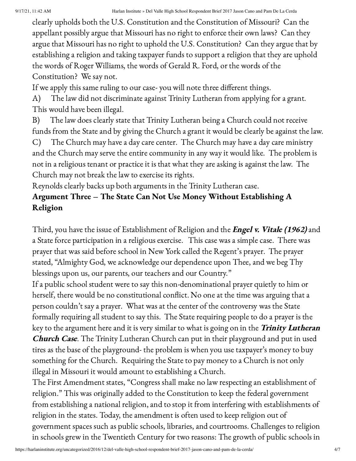clearly upholds both the U.S. Constitution and the Constitution of Missouri? Can the appellant possibly argue that Missouri has no right to enforce their own laws? Can they argue that Missouri has no right to uphold the U.S. Constitution? Can they argue that by establishing a religion and taking taxpayer funds to support a religion that they are uphold the words of Roger Williams, the words of Gerald R. Ford, or the words of the Constitution? We say not.

If we apply this same ruling to our case- you will note three different things.

A) The law did not discriminate against Trinity Lutheran from applying for a grant. This would have been illegal.

B) The law does clearly state that Trinity Lutheran being a Church could not receive funds from the State and by giving the Church a grant it would be clearly be against the law. C) The Church may have a day care center. The Church may have a day care ministry and the Church may serve the entire community in any way it would like. The problem is not in a religious tenant or practice it is that what they are asking is against the law. The

Church may not break the law to exercise its rights.

Reynolds clearly backs up both arguments in the Trinity Lutheran case.

## Argument Three – The State Can Not Use Money Without Establishing A Religion

Third, you have the issue of Establishment of Religion and the *Engel v. Vitale (1962)* and a State force participation in a religious exercise. This case was a simple case. There was prayer that was said before school in New York called the Regent's prayer. The prayer stated, "Almighty God, we acknowledge our dependence upon Thee, and we beg Thy blessings upon us, our parents, our teachers and our Country."

If a public school student were to say this non-denominational prayer quietly to him or herself, there would be no constitutional conflict. No one at the time was arguing that a person couldn't say a prayer. What was at the center of the controversy was the State formally requiring all student to say this. The State requiring people to do a prayer is the key to the argument here and it is very similar to what is going on in the Trinity Lutheran **Church Case**. The Trinity Lutheran Church can put in their playground and put in used tires as the base of the playground- the problem is when you use taxpayer's money to buy something for the Church. Requiring the State to pay money to a Church is not only illegal in Missouri it would amount to establishing a Church.

The First Amendment states, "Congress shall make no law respecting an establishment of religion." This was originally added to the Constitution to keep the federal government from establishing a national religion, and to stop it from interfering with establishments of religion in the states. Today, the amendment is often used to keep religion out of government spaces such as public schools, libraries, and courtrooms. Challenges to religion in schools grew in the Twentieth Century for two reasons: The growth of public schools in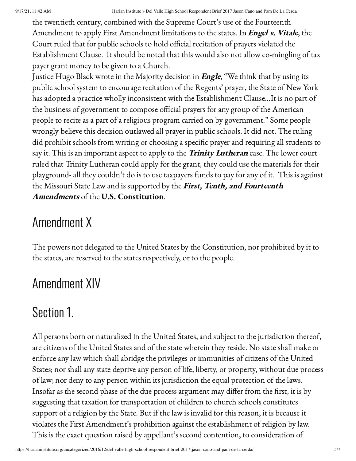the twentieth century, combined with the Supreme Court's use of the Fourteenth Amendment to apply First Amendment limitations to the states. In *Engel v. Vitale*, the Court ruled that for public schools to hold official recitation of prayers violated the Establishment Clause. It should be noted that this would also not allow co-mingling of tax payer grant money to be given to a Church.

Justice Hugo Black wrote in the Majority decision in *Engle*, "We think that by using its public school system to encourage recitation of the Regents' prayer, the State of New York has adopted a practice wholly inconsistent with the Establishment Clause…It is no part of the business of government to compose official prayers for any group of the American people to recite as a part of a religious program carried on by government." Some people wrongly believe this decision outlawed all prayer in public schools. It did not. The ruling did prohibit schools from writing or choosing a specific prayer and requiring all students to say it. This is an important aspect to apply to the *Trinity Lutheran* case. The lower court ruled that Trinity Lutheran could apply for the grant, they could use the materials for their playground- all they couldn't do is to use taxpayers funds to pay for any of it. This is against the Missouri State Law and is supported by the First, Tenth, and Fourteenth Amendments of the U.S. Constitution.

# Amendment X

The powers not delegated to the United States by the Constitution, nor prohibited by it to the states, are reserved to the states respectively, or to the people.

# Amendment XIV

## Section 1.

All persons born or naturalized in the United States, and subject to the jurisdiction thereof, are citizens of the United States and of the state wherein they reside. No state shall make or enforce any law which shall abridge the privileges or immunities of citizens of the United States; nor shall any state deprive any person of life, liberty, or property, without due process of law; nor deny to any person within its jurisdiction the equal protection of the laws. Insofar as the second phase of the due process argument may differ from the first, it is by suggesting that taxation for transportation of children to church schools constitutes support of a religion by the State. But if the law is invalid for this reason, it is because it violates the First Amendment's prohibition against the establishment of religion by law. This is the exact question raised by appellant's second contention, to consideration of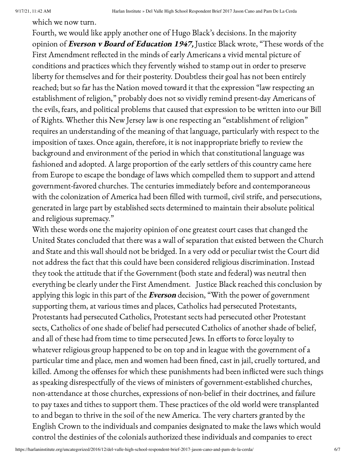which we now turn.

Fourth, we would like apply another one of Hugo Black's decisions. In the majority opinion of Everson v Board of Education 1947, Justice Black wrote, "These words of the First Amendment reflected in the minds of early Americans a vivid mental picture of conditions and practices which they fervently wished to stamp out in order to preserve liberty for themselves and for their posterity. Doubtless their goal has not been entirely reached; but so far has the Nation moved toward it that the expression "law respecting an establishment of religion," probably does not so vividly remind present-day Americans of the evils, fears, and political problems that caused that expression to be written into our Bill of Rights. Whether this New Jersey law is one respecting an "establishment of religion" requires an understanding of the meaning of that language, particularly with respect to the imposition of taxes. Once again, therefore, it is not inappropriate briefly to review the background and environment of the period in which that constitutional language was fashioned and adopted. A large proportion of the early settlers of this country came here from Europe to escape the bondage of laws which compelled them to support and attend government-favored churches. The centuries immediately before and contemporaneous with the colonization of America had been filled with turmoil, civil strife, and persecutions, generated in large part by established sects determined to maintain their absolute political and religious supremacy."

With these words one the majority opinion of one greatest court cases that changed the United States concluded that there was a wall of separation that existed between the Church and State and this wall should not be bridged. In a very odd or peculiar twist the Court did not address the fact that this could have been considered religious discrimination. Instead they took the attitude that if the Government (both state and federal) was neutral then everything be clearly under the First Amendment. Justice Black reached this conclusion by applying this logic in this part of the Everson decision, "With the power of government supporting them, at various times and places, Catholics had persecuted Protestants, Protestants had persecuted Catholics, Protestant sects had persecuted other Protestant sects, Catholics of one shade of belief had persecuted Catholics of another shade of belief, and all of these had from time to time persecuted Jews. In efforts to force loyalty to whatever religious group happened to be on top and in league with the government of a particular time and place, men and women had been fined, cast in jail, cruelly tortured, and killed. Among the offenses for which these punishments had been inflicted were such things as speaking disrespectfully of the views of ministers of government-established churches, non-attendance at those churches, expressions of non-belief in their doctrines, and failure to pay taxes and tithes to support them. These practices of the old world were transplanted to and began to thrive in the soil of the new America. The very charters granted by the English Crown to the individuals and companies designated to make the laws which would control the destinies of the colonials authorized these individuals and companies to erect